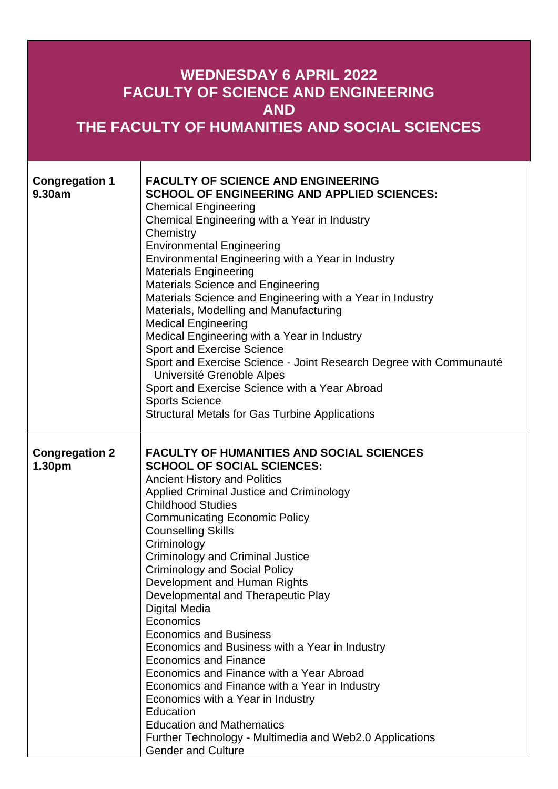| <b>WEDNESDAY 6 APRIL 2022</b><br><b>FACULTY OF SCIENCE AND ENGINEERING</b><br><b>AND</b><br>THE FACULTY OF HUMANITIES AND SOCIAL SCIENCES |                                                                                                                                                                                                                                                                                                                                                                                                                                                                                                                                                                                                                                                                                                                                                                                                                                                                               |  |
|-------------------------------------------------------------------------------------------------------------------------------------------|-------------------------------------------------------------------------------------------------------------------------------------------------------------------------------------------------------------------------------------------------------------------------------------------------------------------------------------------------------------------------------------------------------------------------------------------------------------------------------------------------------------------------------------------------------------------------------------------------------------------------------------------------------------------------------------------------------------------------------------------------------------------------------------------------------------------------------------------------------------------------------|--|
| <b>Congregation 1</b><br>9.30am                                                                                                           | <b>FACULTY OF SCIENCE AND ENGINEERING</b><br><b>SCHOOL OF ENGINEERING AND APPLIED SCIENCES:</b><br><b>Chemical Engineering</b><br>Chemical Engineering with a Year in Industry<br>Chemistry<br><b>Environmental Engineering</b><br>Environmental Engineering with a Year in Industry<br><b>Materials Engineering</b><br><b>Materials Science and Engineering</b><br>Materials Science and Engineering with a Year in Industry<br>Materials, Modelling and Manufacturing<br><b>Medical Engineering</b><br>Medical Engineering with a Year in Industry<br>Sport and Exercise Science<br>Sport and Exercise Science - Joint Research Degree with Communauté<br>Université Grenoble Alpes<br>Sport and Exercise Science with a Year Abroad<br><b>Sports Science</b><br><b>Structural Metals for Gas Turbine Applications</b>                                                      |  |
| <b>Congregation 2</b><br>1.30pm                                                                                                           | <b>FACULTY OF HUMANITIES AND SOCIAL SCIENCES</b><br><b>SCHOOL OF SOCIAL SCIENCES:</b><br><b>Ancient History and Politics</b><br>Applied Criminal Justice and Criminology<br><b>Childhood Studies</b><br><b>Communicating Economic Policy</b><br><b>Counselling Skills</b><br>Criminology<br><b>Criminology and Criminal Justice</b><br><b>Criminology and Social Policy</b><br>Development and Human Rights<br>Developmental and Therapeutic Play<br>Digital Media<br>Economics<br><b>Economics and Business</b><br>Economics and Business with a Year in Industry<br><b>Economics and Finance</b><br>Economics and Finance with a Year Abroad<br>Economics and Finance with a Year in Industry<br>Economics with a Year in Industry<br>Education<br><b>Education and Mathematics</b><br>Further Technology - Multimedia and Web2.0 Applications<br><b>Gender and Culture</b> |  |